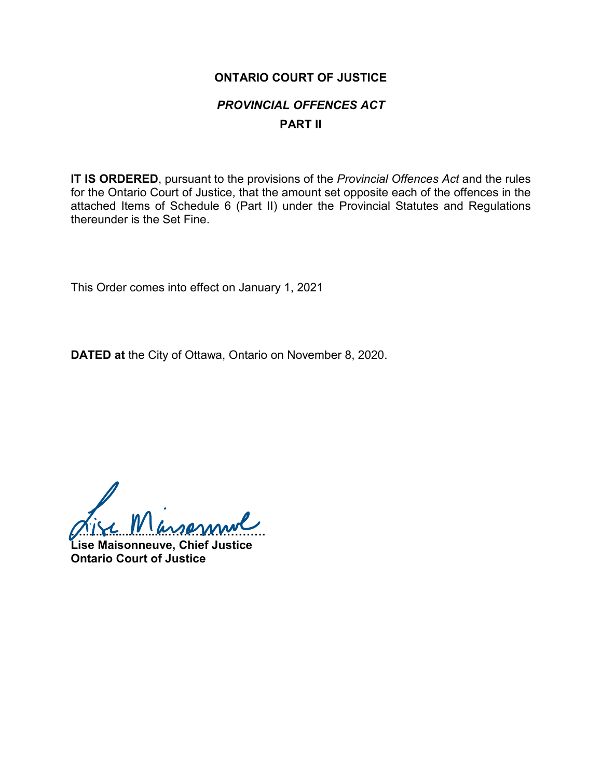## **ONTARIO COURT OF JUSTICE** *PROVINCIAL OFFENCES ACT* **PART II**

**IT IS ORDERED**, pursuant to the provisions of the *Provincial Offences Act* and the rules for the Ontario Court of Justice, that the amount set opposite each of the offences in the attached Items of Schedule 6 (Part II) under the Provincial Statutes and Regulations thereunder is the Set Fine.

This Order comes into effect on January 1, 2021

**DATED at** the City of Ottawa, Ontario on November 8, 2020.

**…..........................…………………….**

**Lise Maisonneuve, Chief Justice Ontario Court of Justice**